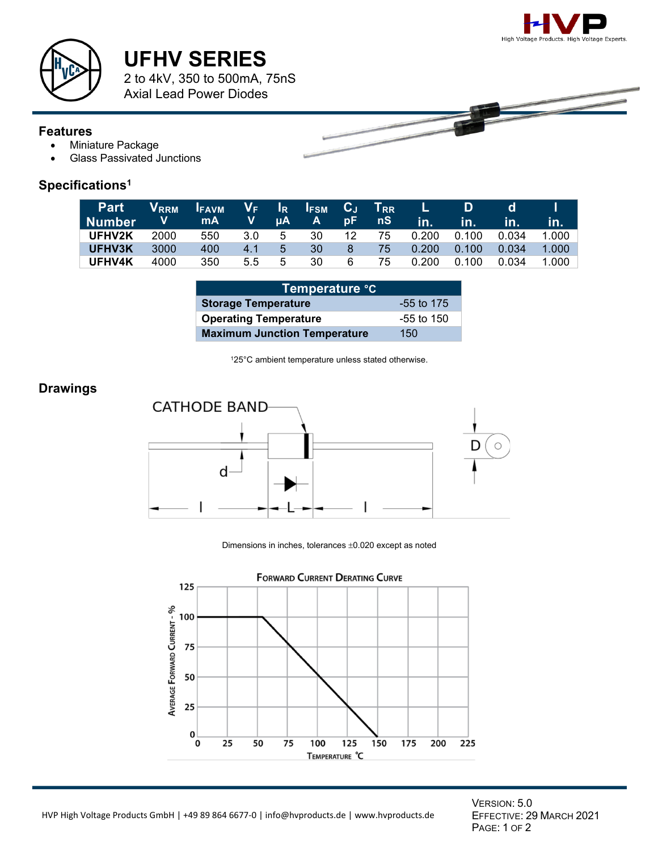



# **UFHV SERIES**

2 to 4kV, 350 to 500mA, 75nS Axial Lead Power Diodes

#### **Features**

- Miniature Package
- Glass Passivated Junctions

### **Specifications1**

| <b>Part</b><br>l Number | <b>V</b> <sub>RRM</sub><br><b>V</b> and | I <sub>FAVM</sub> V <sub>F</sub> I <sub>R</sub> I <sub>FSM</sub> C <sub>J</sub> T <sub>RR</sub><br><b>mA</b> |     |   | IV µA A | pF -           | nS.   | L.<br>in. | D<br>in.        | d<br>In. | in.        |
|-------------------------|-----------------------------------------|--------------------------------------------------------------------------------------------------------------|-----|---|---------|----------------|-------|-----------|-----------------|----------|------------|
| UFHV2K                  | 2000                                    | 550                                                                                                          | 3.0 | 5 | 30      |                | 12 75 |           | 0.200   0.100   | 0.034    | $-1.000$ l |
| UFHV3K                  | 3000                                    | 400                                                                                                          | 4.1 | 5 | 30      | 8 <sup>°</sup> | -75   |           | $0.200$ $0.100$ | 0.034    | 1.000      |
| <b>UFHV4K</b>           | 4000                                    | 350                                                                                                          | 5.5 | 5 | 30      | 6              | 75    |           | 0.200   0.100   | 0.034    | 1.000      |

| ∣Temper <u>ature °C</u>             |              |  |  |  |  |
|-------------------------------------|--------------|--|--|--|--|
| <b>Storage Temperature</b>          | $-55$ to 175 |  |  |  |  |
| <b>Operating Temperature</b>        | -55 to 150   |  |  |  |  |
| <b>Maximum Junction Temperature</b> | 150          |  |  |  |  |

125°C ambient temperature unless stated otherwise.

#### **Drawings**



Dimensions in inches, tolerances ±0.020 except as noted



VERSION: 5.0 EFFECTIVE: 29 MARCH 2021 PAGE: 1 OF 2